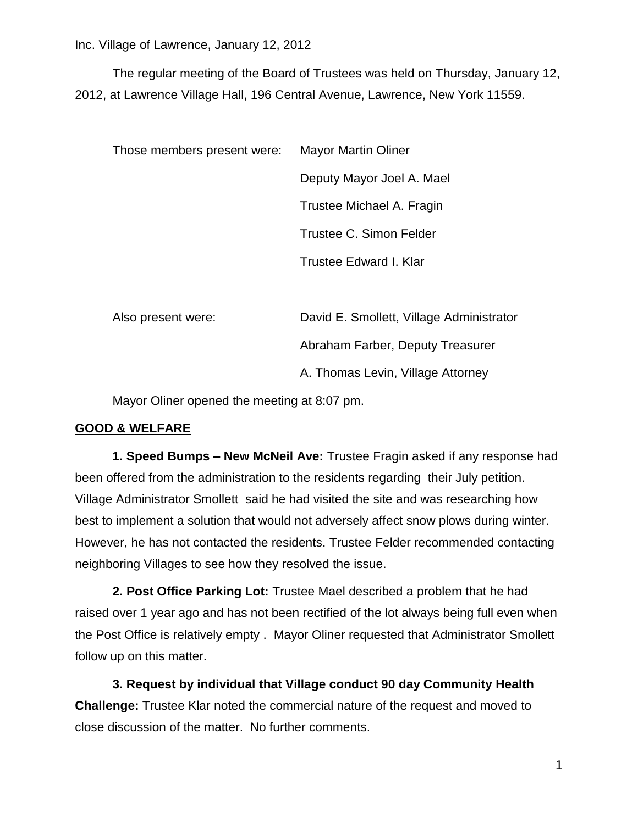The regular meeting of the Board of Trustees was held on Thursday, January 12, 2012, at Lawrence Village Hall, 196 Central Avenue, Lawrence, New York 11559.

| Those members present were: | <b>Mayor Martin Oliner</b> |
|-----------------------------|----------------------------|
|                             | Deputy Mayor Joel A. Mael  |
|                             | Trustee Michael A. Fragin  |
|                             | Trustee C. Simon Felder    |
|                             | Trustee Edward I. Klar     |
|                             |                            |

Also present were: David E. Smollett, Village Administrator Abraham Farber, Deputy Treasurer A. Thomas Levin, Village Attorney

Mayor Oliner opened the meeting at 8:07 pm.

### **GOOD & WELFARE**

**1. Speed Bumps – New McNeil Ave:** Trustee Fragin asked if any response had been offered from the administration to the residents regarding their July petition. Village Administrator Smollett said he had visited the site and was researching how best to implement a solution that would not adversely affect snow plows during winter. However, he has not contacted the residents. Trustee Felder recommended contacting neighboring Villages to see how they resolved the issue.

**2. Post Office Parking Lot:** Trustee Mael described a problem that he had raised over 1 year ago and has not been rectified of the lot always being full even when the Post Office is relatively empty . Mayor Oliner requested that Administrator Smollett follow up on this matter.

**3. Request by individual that Village conduct 90 day Community Health Challenge:** Trustee Klar noted the commercial nature of the request and moved to close discussion of the matter. No further comments.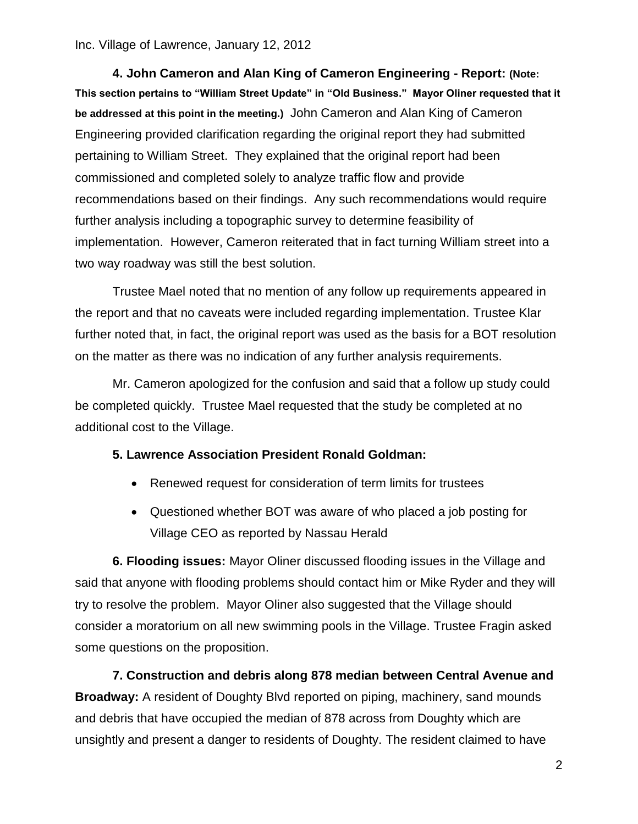**4. John Cameron and Alan King of Cameron Engineering - Report: (Note: This section pertains to "William Street Update" in "Old Business." Mayor Oliner requested that it be addressed at this point in the meeting.)** John Cameron and Alan King of Cameron Engineering provided clarification regarding the original report they had submitted pertaining to William Street. They explained that the original report had been commissioned and completed solely to analyze traffic flow and provide recommendations based on their findings. Any such recommendations would require further analysis including a topographic survey to determine feasibility of implementation. However, Cameron reiterated that in fact turning William street into a two way roadway was still the best solution.

Trustee Mael noted that no mention of any follow up requirements appeared in the report and that no caveats were included regarding implementation. Trustee Klar further noted that, in fact, the original report was used as the basis for a BOT resolution on the matter as there was no indication of any further analysis requirements.

Mr. Cameron apologized for the confusion and said that a follow up study could be completed quickly. Trustee Mael requested that the study be completed at no additional cost to the Village.

## **5. Lawrence Association President Ronald Goldman:**

- Renewed request for consideration of term limits for trustees
- Questioned whether BOT was aware of who placed a job posting for Village CEO as reported by Nassau Herald

**6. Flooding issues:** Mayor Oliner discussed flooding issues in the Village and said that anyone with flooding problems should contact him or Mike Ryder and they will try to resolve the problem. Mayor Oliner also suggested that the Village should consider a moratorium on all new swimming pools in the Village. Trustee Fragin asked some questions on the proposition.

**7. Construction and debris along 878 median between Central Avenue and Broadway:** A resident of Doughty Blvd reported on piping, machinery, sand mounds and debris that have occupied the median of 878 across from Doughty which are unsightly and present a danger to residents of Doughty. The resident claimed to have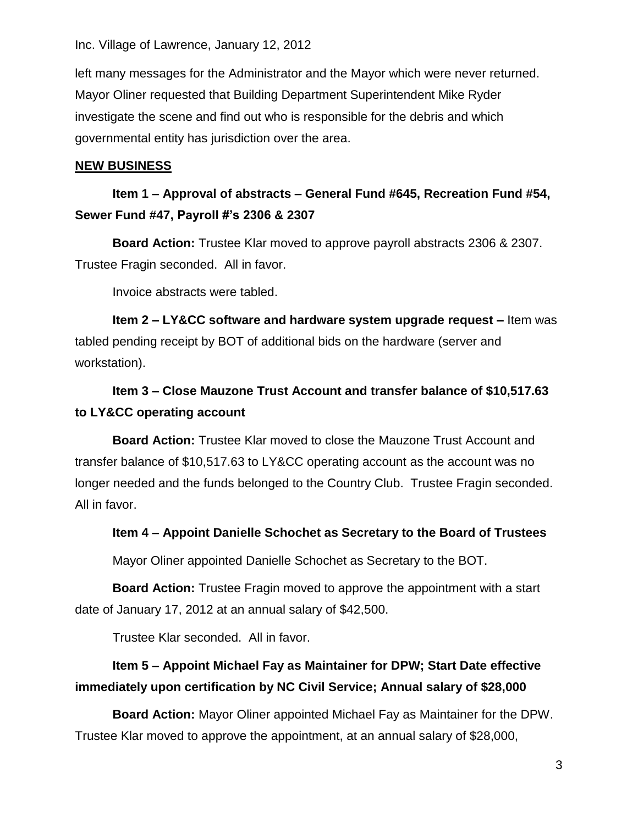left many messages for the Administrator and the Mayor which were never returned. Mayor Oliner requested that Building Department Superintendent Mike Ryder investigate the scene and find out who is responsible for the debris and which governmental entity has jurisdiction over the area.

## **NEW BUSINESS**

## **Item 1 – Approval of abstracts – General Fund #645, Recreation Fund #54, Sewer Fund #47, Payroll #'s 2306 & 2307**

**Board Action:** Trustee Klar moved to approve payroll abstracts 2306 & 2307. Trustee Fragin seconded. All in favor.

Invoice abstracts were tabled.

**Item 2 – LY&CC software and hardware system upgrade request –** Item was tabled pending receipt by BOT of additional bids on the hardware (server and workstation).

# **Item 3 – Close Mauzone Trust Account and transfer balance of \$10,517.63 to LY&CC operating account**

**Board Action:** Trustee Klar moved to close the Mauzone Trust Account and transfer balance of \$10,517.63 to LY&CC operating account as the account was no longer needed and the funds belonged to the Country Club. Trustee Fragin seconded. All in favor.

## **Item 4 – Appoint Danielle Schochet as Secretary to the Board of Trustees**

Mayor Oliner appointed Danielle Schochet as Secretary to the BOT.

**Board Action:** Trustee Fragin moved to approve the appointment with a start date of January 17, 2012 at an annual salary of \$42,500.

Trustee Klar seconded. All in favor.

## **Item 5 – Appoint Michael Fay as Maintainer for DPW; Start Date effective immediately upon certification by NC Civil Service; Annual salary of \$28,000**

**Board Action:** Mayor Oliner appointed Michael Fay as Maintainer for the DPW. Trustee Klar moved to approve the appointment, at an annual salary of \$28,000,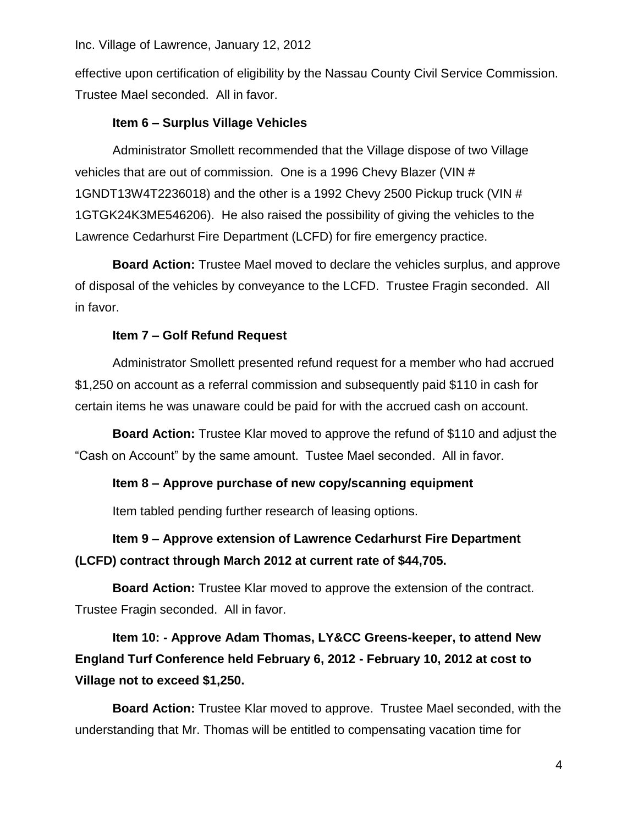effective upon certification of eligibility by the Nassau County Civil Service Commission. Trustee Mael seconded. All in favor.

## **Item 6 – Surplus Village Vehicles**

Administrator Smollett recommended that the Village dispose of two Village vehicles that are out of commission. One is a 1996 Chevy Blazer (VIN # 1GNDT13W4T2236018) and the other is a 1992 Chevy 2500 Pickup truck (VIN # 1GTGK24K3ME546206). He also raised the possibility of giving the vehicles to the Lawrence Cedarhurst Fire Department (LCFD) for fire emergency practice.

**Board Action:** Trustee Mael moved to declare the vehicles surplus, and approve of disposal of the vehicles by conveyance to the LCFD. Trustee Fragin seconded. All in favor.

## **Item 7 – Golf Refund Request**

Administrator Smollett presented refund request for a member who had accrued \$1,250 on account as a referral commission and subsequently paid \$110 in cash for certain items he was unaware could be paid for with the accrued cash on account.

**Board Action:** Trustee Klar moved to approve the refund of \$110 and adjust the "Cash on Account" by the same amount. Tustee Mael seconded. All in favor.

## **Item 8 – Approve purchase of new copy/scanning equipment**

Item tabled pending further research of leasing options.

# **Item 9 – Approve extension of Lawrence Cedarhurst Fire Department (LCFD) contract through March 2012 at current rate of \$44,705.**

**Board Action:** Trustee Klar moved to approve the extension of the contract. Trustee Fragin seconded. All in favor.

# **Item 10: - Approve Adam Thomas, LY&CC Greens-keeper, to attend New England Turf Conference held February 6, 2012 - February 10, 2012 at cost to Village not to exceed \$1,250.**

**Board Action:** Trustee Klar moved to approve. Trustee Mael seconded, with the understanding that Mr. Thomas will be entitled to compensating vacation time for